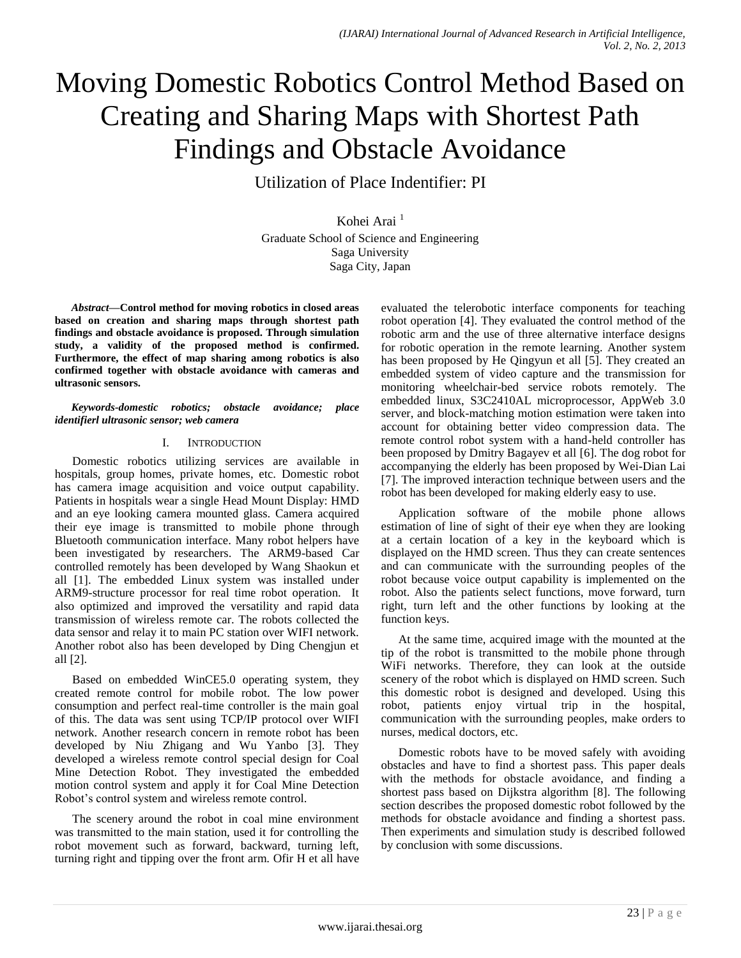# Moving Domestic Robotics Control Method Based on Creating and Sharing Maps with Shortest Path Findings and Obstacle Avoidance

Utilization of Place Indentifier: PI

Kohei Arai<sup>1</sup> Graduate School of Science and Engineering Saga University Saga City, Japan

*Abstract***—Control method for moving robotics in closed areas based on creation and sharing maps through shortest path findings and obstacle avoidance is proposed. Through simulation study, a validity of the proposed method is confirmed. Furthermore, the effect of map sharing among robotics is also confirmed together with obstacle avoidance with cameras and ultrasonic sensors.**

*Keywords-domestic robotics; obstacle avoidance; place identifierl ultrasonic sensor; web camera*

# I. INTRODUCTION

Domestic robotics utilizing services are available in hospitals, group homes, private homes, etc. Domestic robot has camera image acquisition and voice output capability. Patients in hospitals wear a single Head Mount Display: HMD and an eye looking camera mounted glass. Camera acquired their eye image is transmitted to mobile phone through Bluetooth communication interface. Many robot helpers have been investigated by researchers. The ARM9-based Car controlled remotely has been developed by Wang Shaokun et all [1]. The embedded Linux system was installed under ARM9-structure processor for real time robot operation. It also optimized and improved the versatility and rapid data transmission of wireless remote car. The robots collected the data sensor and relay it to main PC station over WIFI network. Another robot also has been developed by Ding Chengjun et all [2].

Based on embedded WinCE5.0 operating system, they created remote control for mobile robot. The low power consumption and perfect real-time controller is the main goal of this. The data was sent using TCP/IP protocol over WIFI network. Another research concern in remote robot has been developed by Niu Zhigang and Wu Yanbo [3]. They developed a wireless remote control special design for Coal Mine Detection Robot. They investigated the embedded motion control system and apply it for Coal Mine Detection Robot's control system and wireless remote control.

The scenery around the robot in coal mine environment was transmitted to the main station, used it for controlling the robot movement such as forward, backward, turning left, turning right and tipping over the front arm. Ofir H et all have evaluated the telerobotic interface components for teaching robot operation [4]. They evaluated the control method of the robotic arm and the use of three alternative interface designs for robotic operation in the remote learning. Another system has been proposed by He Qingyun et all [5]. They created an embedded system of video capture and the transmission for monitoring wheelchair-bed service robots remotely. The embedded linux, S3C2410AL microprocessor, AppWeb 3.0 server, and block-matching motion estimation were taken into account for obtaining better video compression data. The remote control robot system with a hand-held controller has been proposed by Dmitry Bagayev et all [6]. The dog robot for accompanying the elderly has been proposed by Wei-Dian Lai [7]. The improved interaction technique between users and the robot has been developed for making elderly easy to use.

Application software of the mobile phone allows estimation of line of sight of their eye when they are looking at a certain location of a key in the keyboard which is displayed on the HMD screen. Thus they can create sentences and can communicate with the surrounding peoples of the robot because voice output capability is implemented on the robot. Also the patients select functions, move forward, turn right, turn left and the other functions by looking at the function keys.

At the same time, acquired image with the mounted at the tip of the robot is transmitted to the mobile phone through WiFi networks. Therefore, they can look at the outside scenery of the robot which is displayed on HMD screen. Such this domestic robot is designed and developed. Using this robot, patients enjoy virtual trip in the hospital, communication with the surrounding peoples, make orders to nurses, medical doctors, etc.

Domestic robots have to be moved safely with avoiding obstacles and have to find a shortest pass. This paper deals with the methods for obstacle avoidance, and finding a shortest pass based on Dijkstra algorithm [8]. The following section describes the proposed domestic robot followed by the methods for obstacle avoidance and finding a shortest pass. Then experiments and simulation study is described followed by conclusion with some discussions.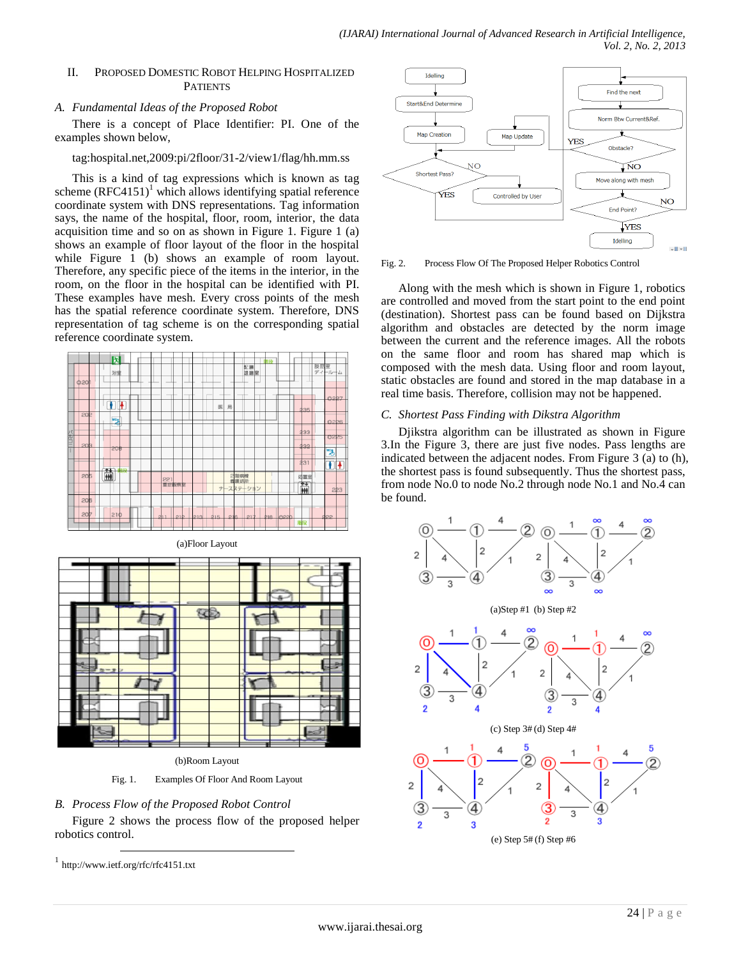# II. PROPOSED DOMESTIC ROBOT HELPING HOSPITALIZED PATIENTS

### *A. Fundamental Ideas of the Proposed Robot*

There is a concept of Place Identifier: PI. One of the examples shown below,

# tag:hospital.net,2009:pi/2floor/31-2/view1/flag/hh.mm.ss

This is a kind of tag expressions which is known as tag scheme  $(RFC4151)^1$  which allows identifying spatial reference coordinate system with DNS representations. Tag information says, the name of the hospital, floor, room, interior, the data acquisition time and so on as shown in Figure 1. Figure 1 (a) shows an example of floor layout of the floor in the hospital while Figure 1 (b) shows an example of room layout. Therefore, any specific piece of the items in the interior, in the room, on the floor in the hospital can be identified with PI. These examples have mesh. Every cross points of the mesh has the spatial reference coordinate system. Therefore, DNS representation of tag scheme is on the corresponding spatial reference coordinate system.





Fig. 1. Examples Of Floor And Room Layout

# *B. Process Flow of the Proposed Robot Control*

Figure 2 shows the process flow of the proposed helper robotics control.

l 1 http://www.ietf.org/rfc/rfc4151.txt



Fig. 2. Process Flow Of The Proposed Helper Robotics Control

Along with the mesh which is shown in Figure 1, robotics are controlled and moved from the start point to the end point (destination). Shortest pass can be found based on Dijkstra algorithm and obstacles are detected by the norm image between the current and the reference images. All the robots on the same floor and room has shared map which is composed with the mesh data. Using floor and room layout, static obstacles are found and stored in the map database in a real time basis. Therefore, collision may not be happened.

# *C. Shortest Pass Finding with Dikstra Algorithm*

Djikstra algorithm can be illustrated as shown in Figure 3.In the Figure 3, there are just five nodes. Pass lengths are indicated between the adjacent nodes. From Figure 3 (a) to (h), the shortest pass is found subsequently. Thus the shortest pass, from node No.0 to node No.2 through node No.1 and No.4 can be found.

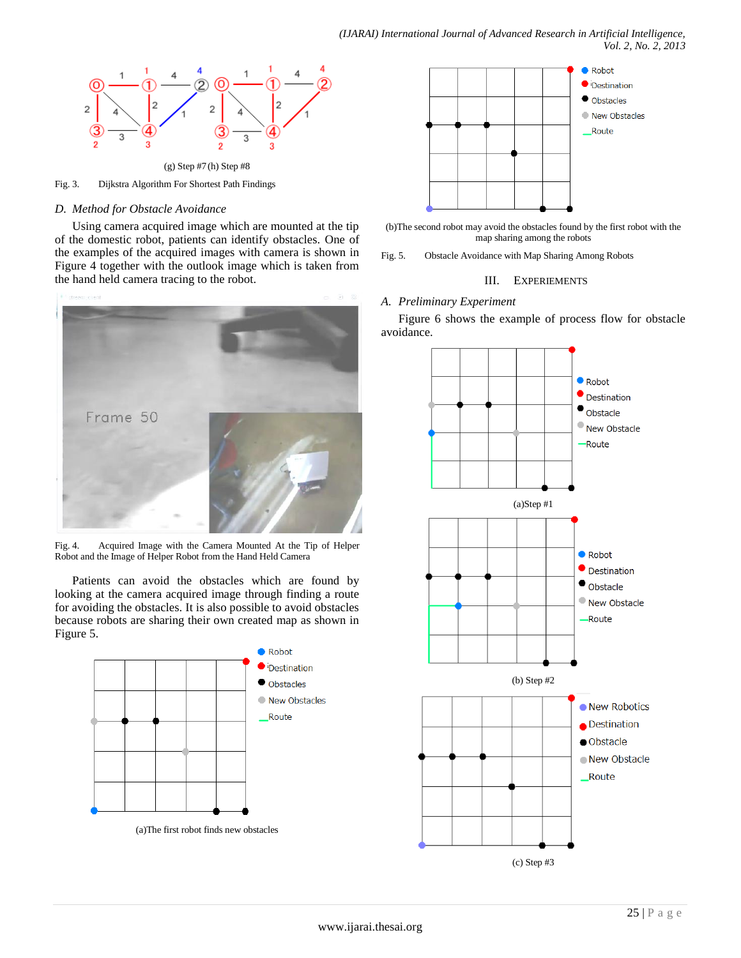

Fig. 3. Dijkstra Algorithm For Shortest Path Findings

#### *D. Method for Obstacle Avoidance*

Using camera acquired image which are mounted at the tip of the domestic robot, patients can identify obstacles. One of the examples of the acquired images with camera is shown in Figure 4 together with the outlook image which is taken from the hand held camera tracing to the robot.



Fig. 4. Acquired Image with the Camera Mounted At the Tip of Helper Robot and the Image of Helper Robot from the Hand Held Camera

Patients can avoid the obstacles which are found by looking at the camera acquired image through finding a route for avoiding the obstacles. It is also possible to avoid obstacles because robots are sharing their own created map as shown in Figure 5.





(b)The second robot may avoid the obstacles found by the first robot with the map sharing among the robots

Fig. 5. Obstacle Avoidance with Map Sharing Among Robots

#### III. EXPERIEMENTS

#### *A. Preliminary Experiment*

Figure 6 shows the example of process flow for obstacle avoidance.

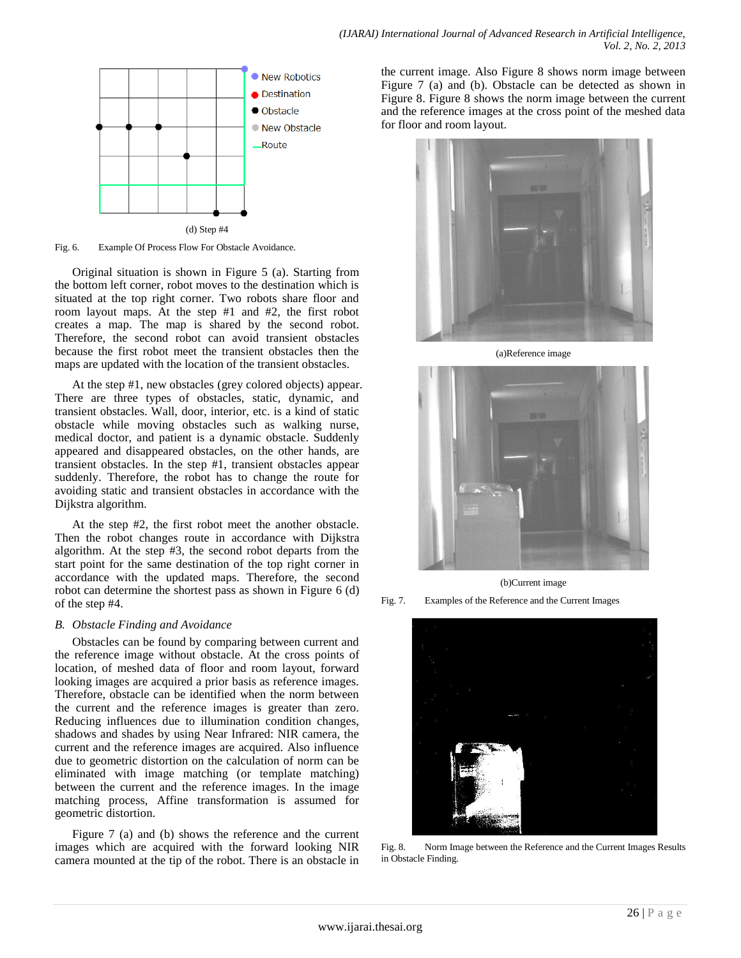

Fig. 6. Example Of Process Flow For Obstacle Avoidance.

Original situation is shown in Figure 5 (a). Starting from the bottom left corner, robot moves to the destination which is situated at the top right corner. Two robots share floor and room layout maps. At the step #1 and #2, the first robot creates a map. The map is shared by the second robot. Therefore, the second robot can avoid transient obstacles because the first robot meet the transient obstacles then the maps are updated with the location of the transient obstacles.

At the step #1, new obstacles (grey colored objects) appear. There are three types of obstacles, static, dynamic, and transient obstacles. Wall, door, interior, etc. is a kind of static obstacle while moving obstacles such as walking nurse, medical doctor, and patient is a dynamic obstacle. Suddenly appeared and disappeared obstacles, on the other hands, are transient obstacles. In the step #1, transient obstacles appear suddenly. Therefore, the robot has to change the route for avoiding static and transient obstacles in accordance with the Dijkstra algorithm.

At the step #2, the first robot meet the another obstacle. Then the robot changes route in accordance with Dijkstra algorithm. At the step #3, the second robot departs from the start point for the same destination of the top right corner in accordance with the updated maps. Therefore, the second robot can determine the shortest pass as shown in Figure 6 (d) of the step #4.

#### *B. Obstacle Finding and Avoidance*

Obstacles can be found by comparing between current and the reference image without obstacle. At the cross points of location, of meshed data of floor and room layout, forward looking images are acquired a prior basis as reference images. Therefore, obstacle can be identified when the norm between the current and the reference images is greater than zero. Reducing influences due to illumination condition changes, shadows and shades by using Near Infrared: NIR camera, the current and the reference images are acquired. Also influence due to geometric distortion on the calculation of norm can be eliminated with image matching (or template matching) between the current and the reference images. In the image matching process, Affine transformation is assumed for geometric distortion.

Figure 7 (a) and (b) shows the reference and the current images which are acquired with the forward looking NIR camera mounted at the tip of the robot. There is an obstacle in

the current image. Also Figure 8 shows norm image between Figure 7 (a) and (b). Obstacle can be detected as shown in Figure 8. Figure 8 shows the norm image between the current and the reference images at the cross point of the meshed data for floor and room layout.



(a)Reference image



(b)Current image

Fig. 7. Examples of the Reference and the Current Images



Fig. 8. Norm Image between the Reference and the Current Images Results in Obstacle Finding.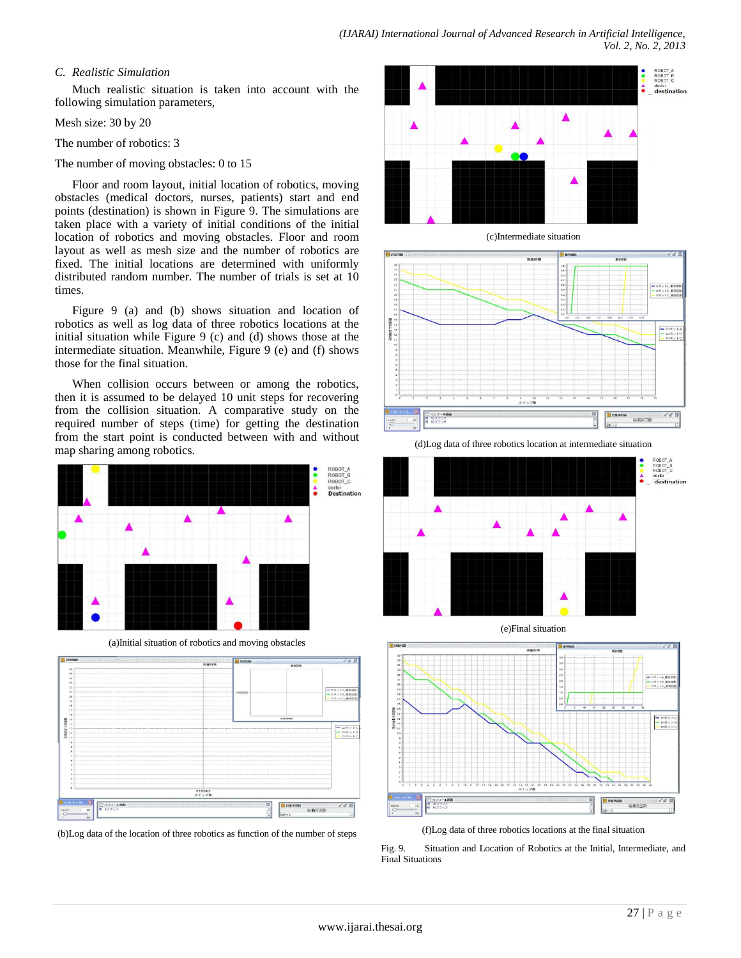# *C. Realistic Simulation*

Much realistic situation is taken into account with the following simulation parameters,

Mesh size: 30 by 20

The number of robotics: 3

The number of moving obstacles: 0 to 15

Floor and room layout, initial location of robotics, moving obstacles (medical doctors, nurses, patients) start and end points (destination) is shown in Figure 9. The simulations are taken place with a variety of initial conditions of the initial location of robotics and moving obstacles. Floor and room layout as well as mesh size and the number of robotics are fixed. The initial locations are determined with uniformly distributed random number. The number of trials is set at 10 times.

Figure 9 (a) and (b) shows situation and location of robotics as well as log data of three robotics locations at the initial situation while Figure 9 (c) and (d) shows those at the intermediate situation. Meanwhile, Figure 9 (e) and (f) shows those for the final situation.

When collision occurs between or among the robotics, then it is assumed to be delayed 10 unit steps for recovering from the collision situation. A comparative study on the required number of steps (time) for getting the destination from the start point is conducted between with and without map sharing among robotics.



(a)Initial situation of robotics and moving obstacles



(b)Log data of the location of three robotics as function of the number of steps







(d)Log data of three robotics location at intermediate situation



(e)Final situation



(f)Log data of three robotics locations at the final situation

Fig. 9. Situation and Location of Robotics at the Initial, Intermediate, and Final Situations